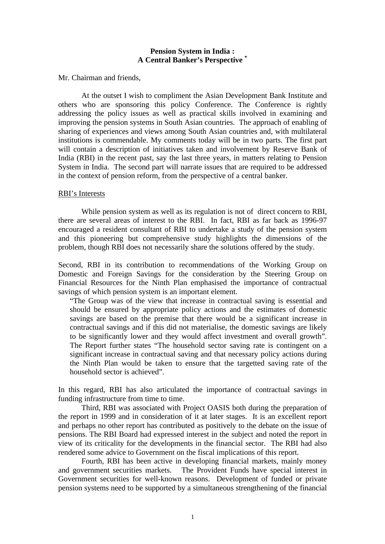## **Pension System in India : A Central Banker's Perspective \***

Mr. Chairman and friends,

At the outset I wish to compliment the Asian Development Bank Institute and others who are sponsoring this policy Conference. The Conference is rightly addressing the policy issues as well as practical skills involved in examining and improving the pension systems in South Asian countries. The approach of enabling of sharing of experiences and views among South Asian countries and, with multilateral institutions is commendable. My comments today will be in two parts. The first part will contain a description of initiatives taken and involvement by Reserve Bank of India (RBI) in the recent past, say the last three years, in matters relating to Pension System in India. The second part will narrate issues that are required to be addressed in the context of pension reform, from the perspective of a central banker.

## RBI's Interests

While pension system as well as its regulation is not of direct concern to RBI, there are several areas of interest to the RBI. In fact, RBI as far back as 1996-97 encouraged a resident consultant of RBI to undertake a study of the pension system and this pioneering but comprehensive study highlights the dimensions of the problem, though RBI does not necessarily share the solutions offered by the study.

Second, RBI in its contribution to recommendations of the Working Group on Domestic and Foreign Savings for the consideration by the Steering Group on Financial Resources for the Ninth Plan emphasised the importance of contractual savings of which pension system is an important element.

"The Group was of the view that increase in contractual saving is essential and should be ensured by appropriate policy actions and the estimates of domestic savings are based on the premise that there would be a significant increase in contractual savings and if this did not materialise, the domestic savings are likely to be significantly lower and they would affect investment and overall growth". The Report further states "The household sector saving rate is contingent on a significant increase in contractual saving and that necessary policy actions during the Ninth Plan would be taken to ensure that the targetted saving rate of the household sector is achieved".

In this regard, RBI has also articulated the importance of contractual savings in funding infrastructure from time to time.

Third, RBI was associated with Project OASIS both during the preparation of the report in 1999 and in consideration of it at later stages. It is an excellent report and perhaps no other report has contributed as positively to the debate on the issue of pensions. The RBI Board had expressed interest in the subject and noted the report in view of its criticality for the developments in the financial sector. The RBI had also rendered some advice to Government on the fiscal implications of this report.

Fourth, RBI has been active in developing financial markets, mainly money and government securities markets. The Provident Funds have special interest in Government securities for well-known reasons. Development of funded or private pension systems need to be supported by a simultaneous strengthening of the financial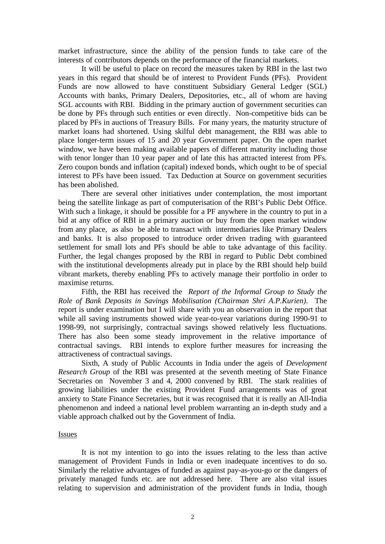market infrastructure, since the ability of the pension funds to take care of the interests of contributors depends on the performance of the financial markets.

It will be useful to place on record the measures taken by RBI in the last two years in this regard that should be of interest to Provident Funds (PFs). Provident Funds are now allowed to have constituent Subsidiary General Ledger (SGL) Accounts with banks, Primary Dealers, Depositories, etc., all of whom are having SGL accounts with RBI. Bidding in the primary auction of government securities can be done by PFs through such entities or even directly. Non-competitive bids can be placed by PFs in auctions of Treasury Bills. For many years, the maturity structure of market loans had shortened. Using skilful debt management, the RBI was able to place longer-term issues of 15 and 20 year Government paper. On the open market window, we have been making available papers of different maturity including those with tenor longer than 10 year paper and of late this has attracted interest from PFs. Zero coupon bonds and inflation (capital) indexed bonds, which ought to be of special interest to PFs have been issued. Tax Deduction at Source on government securities has been abolished.

There are several other initiatives under contemplation, the most important being the satellite linkage as part of computerisation of the RBI's Public Debt Office. With such a linkage, it should be possible for a PF anywhere in the country to put in a bid at any office of RBI in a primary auction or buy from the open market window from any place, as also be able to transact with intermediaries like Primary Dealers and banks. It is also proposed to introduce order driven trading with guaranteed settlement for small lots and PFs should be able to take advantage of this facility. Further, the legal changes proposed by the RBI in regard to Public Debt combined with the institutional developments already put in place by the RBI should help build vibrant markets, thereby enabling PFs to actively manage their portfolio in order to maximise returns.

Fifth, the RBI has received the *Report of the Informal Group to Study the Role of Bank Deposits in Savings Mobilisation (Chairman Shri A.P.Kurien)*. The report is under examination but I will share with you an observation in the report that while all saving instruments showed wide year-to-year variations during 1990-91 to 1998-99, not surprisingly, contractual savings showed relatively less fluctuations. There has also been some steady improvement in the relative importance of contractual savings. RBI intends to explore further measures for increasing the attractiveness of contractual savings.

Sixth, A study of Public Accounts in India under the ageis of *Development Research Group* of the RBI was presented at the seventh meeting of State Finance Secretaries on November 3 and 4, 2000 convened by RBI. The stark realities of growing liabilities under the existing Provident Fund arrangements was of great anxiety to State Finance Secretaries, but it was recognised that it is really an All-India phenomenon and indeed a national level problem warranting an in-depth study and a viable approach chalked out by the Government of India.

## Issues

It is not my intention to go into the issues relating to the less than active management of Provident Funds in India or even inadequate incentives to do so. Similarly the relative advantages of funded as against pay-as-you-go or the dangers of privately managed funds etc. are not addressed here. There are also vital issues relating to supervision and administration of the provident funds in India, though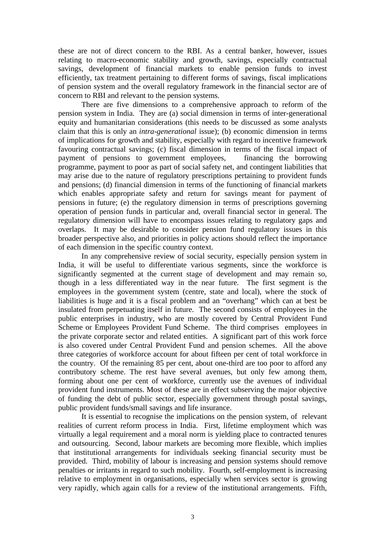these are not of direct concern to the RBI. As a central banker, however, issues relating to macro-economic stability and growth, savings, especially contractual savings, development of financial markets to enable pension funds to invest efficiently, tax treatment pertaining to different forms of savings, fiscal implications of pension system and the overall regulatory framework in the financial sector are of concern to RBI and relevant to the pension systems.

There are five dimensions to a comprehensive approach to reform of the pension system in India. They are (a) social dimension in terms of inter-generational equity and humanitarian considerations (this needs to be discussed as some analysts claim that this is only an *intra-generational* issue); (b) economic dimension in terms of implications for growth and stability, especially with regard to incentive framework favouring contractual savings; (c) fiscal dimension in terms of the fiscal impact of payment of pensions to government employees, financing the borrowing programme, payment to poor as part of social safety net, and contingent liabilities that may arise due to the nature of regulatory prescriptions pertaining to provident funds and pensions; (d) financial dimension in terms of the functioning of financial markets which enables appropriate safety and return for savings meant for payment of pensions in future; (e) the regulatory dimension in terms of prescriptions governing operation of pension funds in particular and, overall financial sector in general. The regulatory dimension will have to encompass issues relating to regulatory gaps and overlaps. It may be desirable to consider pension fund regulatory issues in this broader perspective also, and priorities in policy actions should reflect the importance of each dimension in the specific country context.

In any comprehensive review of social security, especially pension system in India, it will be useful to differentiate various segments, since the workforce is significantly segmented at the current stage of development and may remain so, though in a less differentiated way in the near future. The first segment is the employees in the government system (centre, state and local), where the stock of liabilities is huge and it is a fiscal problem and an "overhang" which can at best be insulated from perpetuating itself in future. The second consists of employees in the public enterprises in industry, who are mostly covered by Central Provident Fund Scheme or Employees Provident Fund Scheme. The third comprises employees in the private corporate sector and related entities. A significant part of this work force is also covered under Central Provident Fund and pension schemes. All the above three categories of workforce account for about fifteen per cent of total workforce in the country. Of the remaining 85 per cent, about one-third are too poor to afford any contributory scheme. The rest have several avenues, but only few among them, forming about one per cent of workforce, currently use the avenues of individual provident fund instruments. Most of these are in effect subserving the major objective of funding the debt of public sector, especially government through postal savings, public provident funds/small savings and life insurance.

It is essential to recognise the implications on the pension system, of relevant realities of current reform process in India. First, lifetime employment which was virtually a legal requirement and a moral norm is yielding place to contracted tenures and outsourcing. Second, labour markets are becoming more flexible, which implies that institutional arrangements for individuals seeking financial security must be provided. Third, mobility of labour is increasing and pension systems should remove penalties or irritants in regard to such mobility. Fourth, self-employment is increasing relative to employment in organisations, especially when services sector is growing very rapidly, which again calls for a review of the institutional arrangements. Fifth,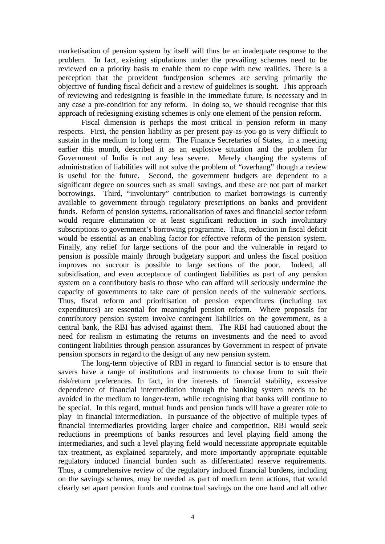marketisation of pension system by itself will thus be an inadequate response to the problem. In fact, existing stipulations under the prevailing schemes need to be reviewed on a priority basis to enable them to cope with new realities. There is a perception that the provident fund/pension schemes are serving primarily the objective of funding fiscal deficit and a review of guidelines is sought. This approach of reviewing and redesigning is feasible in the immediate future, is necessary and in any case a pre-condition for any reform. In doing so, we should recognise that this approach of redesigning existing schemes is only one element of the pension reform.

Fiscal dimension is perhaps the most critical in pension reform in many respects. First, the pension liability as per present pay-as-you-go is very difficult to sustain in the medium to long term. The Finance Secretaries of States, in a meeting earlier this month, described it as an explosive situation and the problem for Government of India is not any less severe. Merely changing the systems of administration of liabilities will not solve the problem of "overhang" though a review is useful for the future. Second, the government budgets are dependent to a significant degree on sources such as small savings, and these are not part of market borrowings. Third, "involuntary" contribution to market borrowings is currently available to government through regulatory prescriptions on banks and provident funds. Reform of pension systems, rationalisation of taxes and financial sector reform would require elimination or at least significant reduction in such involuntary subscriptions to government's borrowing programme. Thus, reduction in fiscal deficit would be essential as an enabling factor for effective reform of the pension system. Finally, any relief for large sections of the poor and the vulnerable in regard to pension is possible mainly through budgetary support and unless the fiscal position improves no succour is possible to large sections of the poor. Indeed, all subsidisation, and even acceptance of contingent liabilities as part of any pension system on a contributory basis to those who can afford will seriously undermine the capacity of governments to take care of pension needs of the vulnerable sections. Thus, fiscal reform and prioritisation of pension expenditures (including tax expenditures) are essential for meaningful pension reform. Where proposals for contributory pension system involve contingent liabilities on the government, as a central bank, the RBI has advised against them. The RBI had cautioned about the need for realism in estimating the returns on investments and the need to avoid contingent liabilities through pension assurances by Government in respect of private pension sponsors in regard to the design of any new pension system.

The long-term objective of RBI in regard to financial sector is to ensure that savers have a range of institutions and instruments to choose from to suit their risk/return preferences. In fact, in the interests of financial stability, excessive dependence of financial intermediation through the banking system needs to be avoided in the medium to longer-term, while recognising that banks will continue to be special. In this regard, mutual funds and pension funds will have a greater role to play in financial intermediation. In pursuance of the objective of multiple types of financial intermediaries providing larger choice and competition, RBI would seek reductions in preemptions of banks resources and level playing field among the intermediaries, and such a level playing field would necessitate appropriate equitable tax treatment, as explained separately, and more importantly appropriate equitable regulatory induced financial burden such as differentiated reserve requirements. Thus, a comprehensive review of the regulatory induced financial burdens, including on the savings schemes, may be needed as part of medium term actions, that would clearly set apart pension funds and contractual savings on the one hand and all other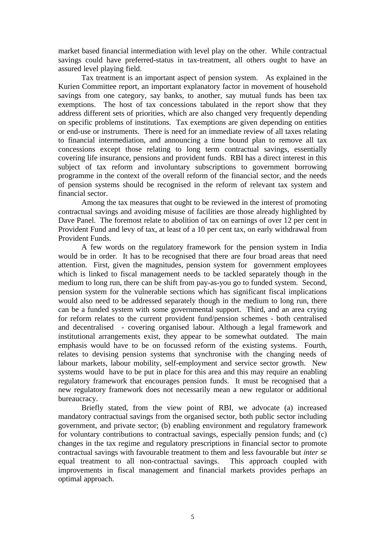market based financial intermediation with level play on the other. While contractual savings could have preferred-status in tax-treatment, all others ought to have an assured level playing field.

Tax treatment is an important aspect of pension system. As explained in the Kurien Committee report, an important explanatory factor in movement of household savings from one category, say banks, to another, say mutual funds has been tax exemptions. The host of tax concessions tabulated in the report show that they address different sets of priorities, which are also changed very frequently depending on specific problems of institutions. Tax exemptions are given depending on entities or end-use or instruments. There is need for an immediate review of all taxes relating to financial intermediation, and announcing a time bound plan to remove all tax concessions except those relating to long term contractual savings, essentially covering life insurance, pensions and provident funds. RBI has a direct interest in this subject of tax reform and involuntary subscriptions to government borrowing programme in the context of the overall reform of the financial sector, and the needs of pension systems should be recognised in the reform of relevant tax system and financial sector.

Among the tax measures that ought to be reviewed in the interest of promoting contractual savings and avoiding misuse of facilities are those already highlighted by Dave Panel. The foremost relate to abolition of tax on earnings of over 12 per cent in Provident Fund and levy of tax, at least of a 10 per cent tax, on early withdrawal from Provident Funds.

A few words on the regulatory framework for the pension system in India would be in order. It has to be recognised that there are four broad areas that need attention. First, given the magnitudes, pension system for government employees which is linked to fiscal management needs to be tackled separately though in the medium to long run, there can be shift from pay-as-you go to funded system. Second, pension system for the vulnerable sections which has significant fiscal implications would also need to be addressed separately though in the medium to long run, there can be a funded system with some governmental support. Third, and an area crying for reform relates to the current provident fund/pension schemes - both centralised and decentralised - covering organised labour. Although a legal framework and institutional arrangements exist, they appear to be somewhat outdated. The main emphasis would have to be on focussed reform of the existing systems. Fourth, relates to devising pension systems that synchronise with the changing needs of labour markets, labour mobility, self-employment and service sector growth. New systems would have to be put in place for this area and this may require an enabling regulatory framework that encourages pension funds. It must be recognised that a new regulatory framework does not necessarily mean a new regulator or additional bureaucracy.

Briefly stated, from the view point of RBI, we advocate (a) increased mandatory contractual savings from the organised sector, both public sector including government, and private sector; (b) enabling environment and regulatory framework for voluntary contributions to contractual savings, especially pension funds; and (c) changes in the tax regime and regulatory prescriptions in financial sector to promote contractual savings with favourable treatment to them and less favourable but *inter se* equal treatment to all non-contractual savings. This approach coupled with improvements in fiscal management and financial markets provides perhaps an optimal approach.